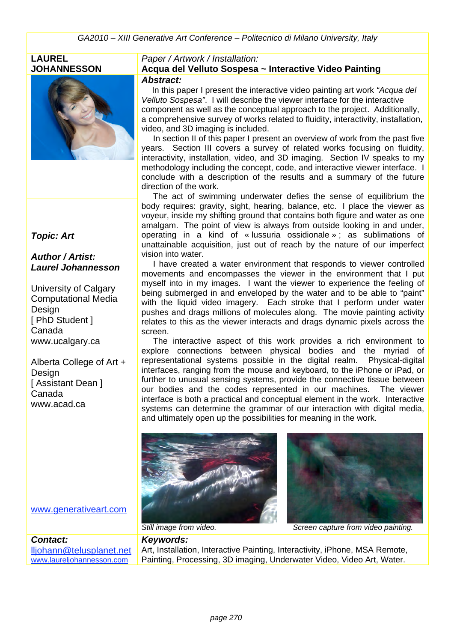#### **LAUREL JOHANNESSON**



#### *Topic: Art*

#### *Author / Artist: Laurel Johannesson*

University of Calgary Computational Media Design [ PhD Student ] Canada www.ucalgary.ca

Alberta College of Art + **Design** [ Assistant Dean ] Canada www.acad.ca

#### *Paper / Artwork / Installation:*

# **Acqua del Velluto Sospesa ~ Interactive Video Painting**

*Abstract:*

 In this paper I present the interactive video painting art work *"Acqua del Velluto Sospesa"*. I will describe the viewer interface for the interactive component as well as the conceptual approach to the project. Additionally, a comprehensive survey of works related to fluidity, interactivity, installation, video, and 3D imaging is included.

In section II of this paper I present an overview of work from the past five years. Section III covers a survey of related works focusing on fluidity, interactivity, installation, video, and 3D imaging. Section IV speaks to my methodology including the concept, code, and interactive viewer interface. I conclude with a description of the results and a summary of the future direction of the work.

 The act of swimming underwater defies the sense of equilibrium the body requires: gravity, sight, hearing, balance, etc. I place the viewer as voyeur, inside my shifting ground that contains both figure and water as one amalgam. The point of view is always from outside looking in and under, operating in a kind of « lussuria ossidionale » ; as sublimations of unattainable acquisition, just out of reach by the nature of our imperfect vision into water.

 I have created a water environment that responds to viewer controlled movements and encompasses the viewer in the environment that I put myself into in my images. I want the viewer to experience the feeling of being submerged in and enveloped by the water and to be able to "paint" with the liquid video imagery. Each stroke that I perform under water pushes and drags millions of molecules along. The movie painting activity relates to this as the viewer interacts and drags dynamic pixels across the screen.

 The interactive aspect of this work provides a rich environment to explore connections between physical bodies and the myriad of representational systems possible in the digital realm. Physical-digital interfaces, ranging from the mouse and keyboard, to the iPhone or iPad, or further to unusual sensing systems, provide the connective tissue between our bodies and the codes represented in our machines. The viewer interface is both a practical and conceptual element in the work. Interactive systems can determine the grammar of our interaction with digital media, and ultimately open up the possibilities for meaning in the work.





www.generativeart.com

*Contact:* lljohann@telusplanet.net www.laureljohannesson.com

*Still image from video. Screen capture from video painting.*

*Keywords:*  Art, Installation, Interactive Painting, Interactivity, iPhone, MSA Remote, Painting, Processing, 3D imaging, Underwater Video, Video Art, Water.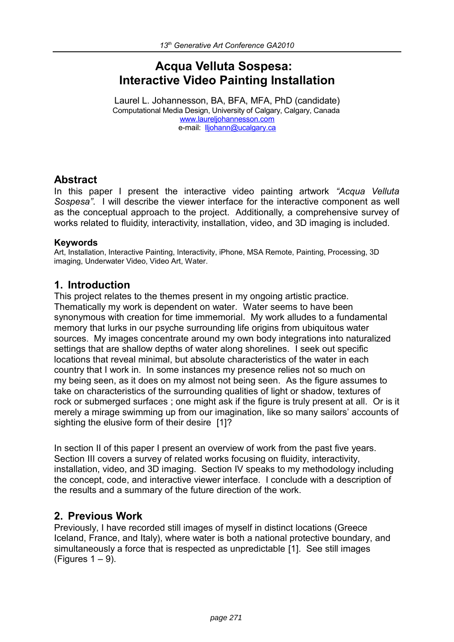# **Acqua Velluta Sospesa: Interactive Video Painting Installation**

Laurel L. Johannesson, BA, BFA, MFA, PhD (candidate) Computational Media Design, University of Calgary, Calgary, Canada [www.laureljohannesson.com](http://www.laureljohannesson.com/)  e-mail: [lljohann@ucalgary.ca](mailto:lljohann@ucalgary.ca) 

#### **Abstract**

In this paper I present the interactive video painting artwork *"Acqua Velluta Sospesa"*. I will describe the viewer interface for the interactive component as well as the conceptual approach to the project. Additionally, a comprehensive survey of works related to fluidity, interactivity, installation, video, and 3D imaging is included.

#### **Keywords**

Art, Installation, Interactive Painting, Interactivity, iPhone, MSA Remote, Painting, Processing, 3D imaging, Underwater Video, Video Art, Water.

#### **1. Introduction**

This project relates to the themes present in my ongoing artistic practice. Thematically my work is dependent on water. Water seems to have been synonymous with creation for time immemorial. My work alludes to a fundamental memory that lurks in our psyche surrounding life origins from ubiquitous water sources. My images concentrate around my own body integrations into naturalized settings that are shallow depths of water along shorelines. I seek out specific locations that reveal minimal, but absolute characteristics of the water in each country that I work in. In some instances my presence relies not so much on my being seen, as it does on my almost not being seen. As the figure assumes to take on characteristics of the surrounding qualities of light or shadow, textures of rock or submerged surfaces ; one might ask if the figure is truly present at all. Or is it merely a mirage swimming up from our imagination, like so many sailors' accounts of sighting the elusive form of their desire [1]?

In section II of this paper I present an overview of work from the past five years. Section III covers a survey of related works focusing on fluidity, interactivity, installation, video, and 3D imaging. Section IV speaks to my methodology including the concept, code, and interactive viewer interface. I conclude with a description of the results and a summary of the future direction of the work.

#### **2. Previous Work**

Previously, I have recorded still images of myself in distinct locations (Greece Iceland, France, and Italy), where water is both a national protective boundary, and simultaneously a force that is respected as unpredictable [1]. See still images  $(Fiqures 1 – 9)$ .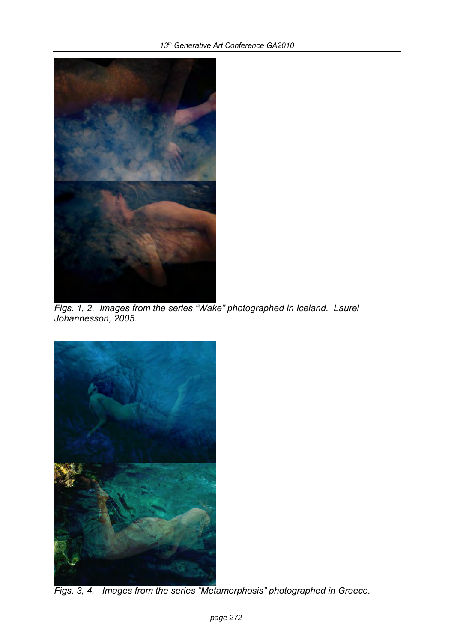

*Figs. 1, 2. Images from the series "Wake" photographed in Iceland. Laurel Johannesson, 2005.*



*Figs. 3, 4. Images from the series "Metamorphosis" photographed in Greece.*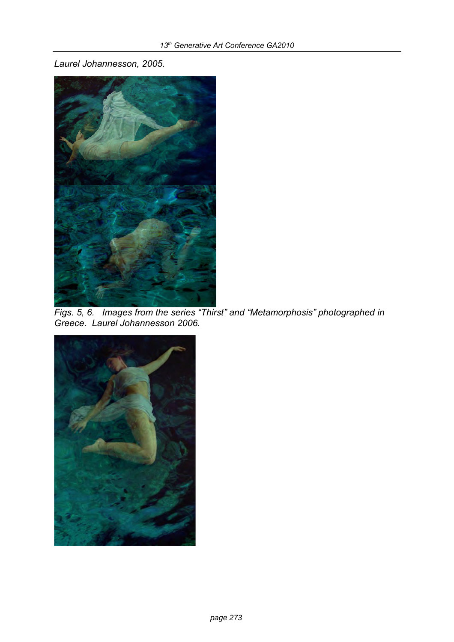*Laurel Johannesson, 2005.*



*Figs. 5, 6. Images from the series "Thirst" and "Metamorphosis" photographed in Greece. Laurel Johannesson 2006.*

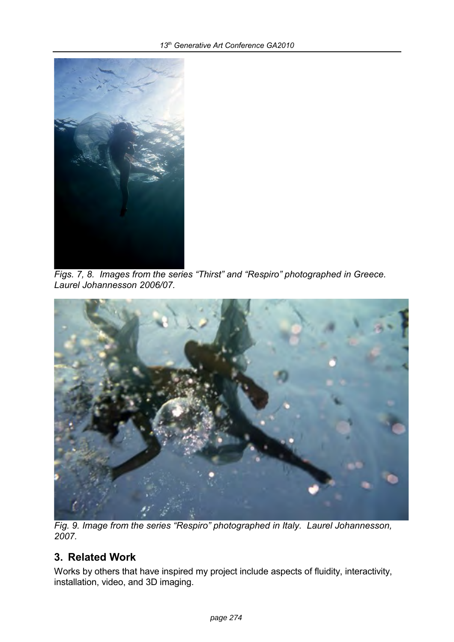

*Figs. 7, 8. Images from the series "Thirst" and "Respiro" photographed in Greece. Laurel Johannesson 2006/07.*



*Fig. 9. Image from the series "Respiro" photographed in Italy. Laurel Johannesson, 2007.*

# **3. Related Work**

Works by others that have inspired my project include aspects of fluidity, interactivity, installation, video, and 3D imaging.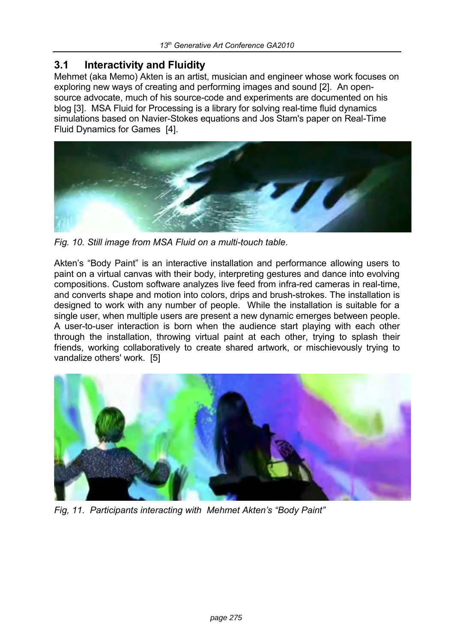#### **3.1 Interactivity and Fluidity**

Mehmet (aka Memo) Akten is an artist, musician and engineer whose work focuses on exploring new ways of creating and performing images and sound [2]. An opensource advocate, much of his source-code and experiments are documented on his blog [3]. MSA Fluid for Processing is a library for solving real-time fluid dynamics simulations based on Navier-Stokes equations and Jos Stam's paper on [Real-Time](http://www.dgp.toronto.edu/people/stam/reality/Research/pdf/GDC03.pdf)  [Fluid Dynamics for Games](http://www.dgp.toronto.edu/people/stam/reality/Research/pdf/GDC03.pdf) [4].



*Fig. 10. Still image from MSA Fluid on a multi-touch table.*

Akten's "Body Paint" is an interactive installation and performance allowing users to paint on a virtual canvas with their body, interpreting gestures and dance into evolving compositions. Custom software analyzes live feed from infra-red cameras in real-time, and converts shape and motion into colors, drips and brush-strokes. The installation is designed to work with any number of people. While the installation is suitable for a single user, when multiple users are present a new dynamic emerges between people. A user-to-user interaction is born when the audience start playing with each other through the installation, throwing virtual paint at each other, trying to splash their friends, working collaboratively to create shared artwork, or mischievously trying to vandalize others' work. [5]



*Fig, 11. Participants interacting with Mehmet Akten's "Body Paint"*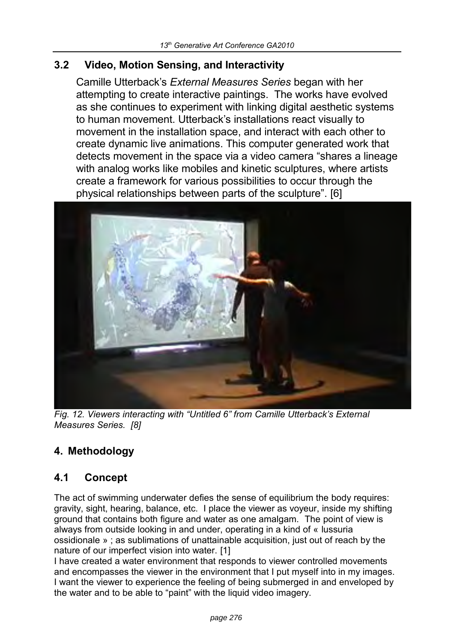### **3.2 Video, Motion Sensing, and Interactivity**

Camille Utterback's *External Measures Series* began with her attempting to create interactive paintings. The works have evolved as she continues to experiment with linking digital aesthetic systems to human movement. Utterback's installations react visually to movement in the installation space, and interact with each other to create dynamic live animations. This computer generated work that detects movement in the space via a video camera "shares a lineage with analog works like mobiles and kinetic sculptures, where artists create a framework for various possibilities to occur through the physical relationships between parts of the sculpture". [6]



*Fig. 12. Viewers interacting with "Untitled 6" from Camille Utterback's External Measures Series. [8]*

# **4. Methodology**

# **4.1 Concept**

The act of swimming underwater defies the sense of equilibrium the body requires: gravity, sight, hearing, balance, etc. I place the viewer as voyeur, inside my shifting ground that contains both figure and water as one amalgam. The point of view is always from outside looking in and under, operating in a kind of « lussuria ossidionale » ; as sublimations of unattainable acquisition, just out of reach by the nature of our imperfect vision into water. [1]

I have created a water environment that responds to viewer controlled movements and encompasses the viewer in the environment that I put myself into in my images. I want the viewer to experience the feeling of being submerged in and enveloped by the water and to be able to "paint" with the liquid video imagery.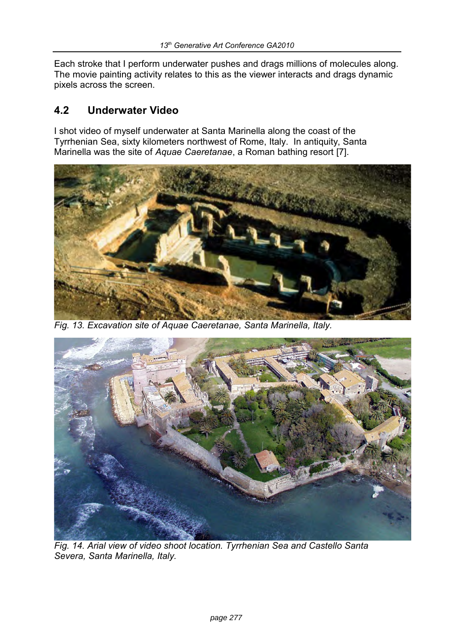Each stroke that I perform underwater pushes and drags millions of molecules along. The movie painting activity relates to this as the viewer interacts and drags dynamic pixels across the screen.

# **4.2 Underwater Video**

I shot video of myself underwater at Santa Marinella along the coast of the Tyrrhenian Sea, sixty kilometers northwest of Rome, Italy. In antiquity, Santa Marinella was the site of *Aquae Caeretanae*, a Roman bathing resort [7].



*Fig. 13. Excavation site of Aquae Caeretanae, Santa Marinella, Italy.*



*Fig. 14. Arial view of video shoot location. Tyrrhenian Sea and Castello Santa Severa, Santa Marinella, Italy.*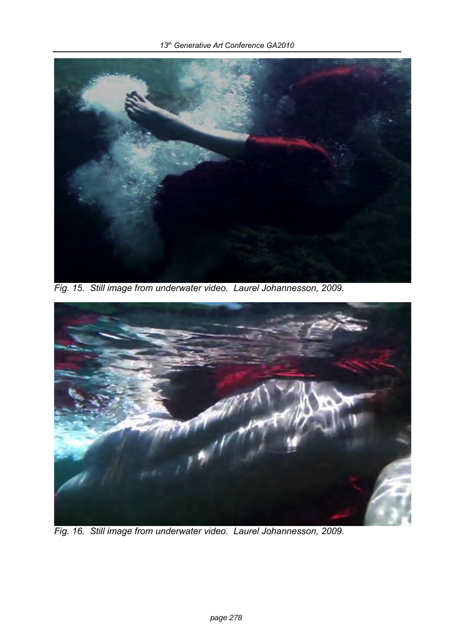

*Fig. 15. Still image from underwater video. Laurel Johannesson, 2009.*



*Fig. 16. Still image from underwater video. Laurel Johannesson, 2009.*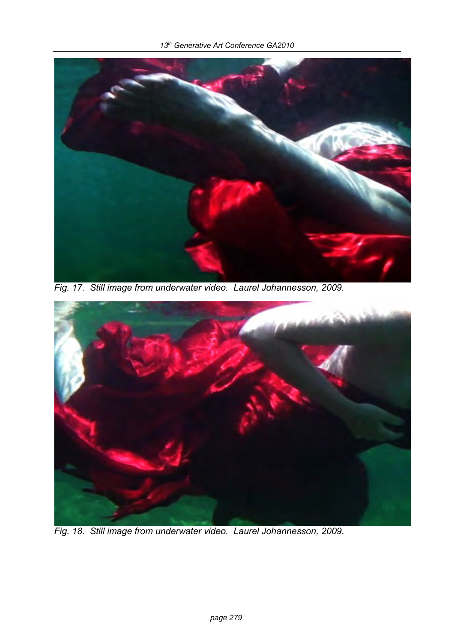

*Fig. 17. Still image from underwater video. Laurel Johannesson, 2009.*



*Fig. 18. Still image from underwater video. Laurel Johannesson, 2009.*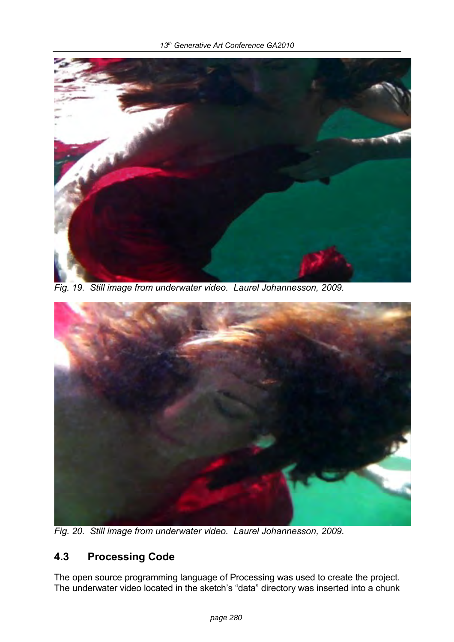

*Fig. 19. Still image from underwater video. Laurel Johannesson, 2009.*



*Fig. 20. Still image from underwater video. Laurel Johannesson, 2009.*

# **4.3 Processing Code**

The open source programming language of Processing was used to create the project. The underwater video located in the sketch's "data" directory was inserted into a chunk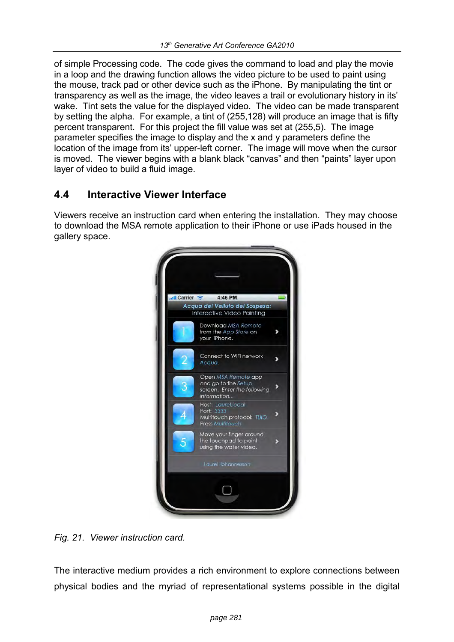of simple Processing code. The code gives the command to load and play the movie in a loop and the drawing function allows the video picture to be used to paint using the mouse, track pad or other device such as the iPhone. By manipulating the tint or transparency as well as the image, the video leaves a trail or evolutionary history in its' wake. Tint sets the value for the displayed video. The video can be made transparent by setting the alpha. For example, a tint of (255,128) will produce an image that is fifty percent transparent. For this project the fill value was set at (255,5). The image parameter specifies the image to display and the x and y parameters define the location of the image from its' upper-left corner. The image will move when the cursor is moved. The viewer begins with a blank black "canvas" and then "paints" layer upon layer of video to build a fluid image.

### **4.4 Interactive Viewer Interface**

Viewers receive an instruction card when entering the installation. They may choose to download the MSA remote application to their iPhone or use iPads housed in the gallery space.



*Fig. 21. Viewer instruction card.*

The interactive medium provides a rich environment to explore connections between physical bodies and the myriad of representational systems possible in the digital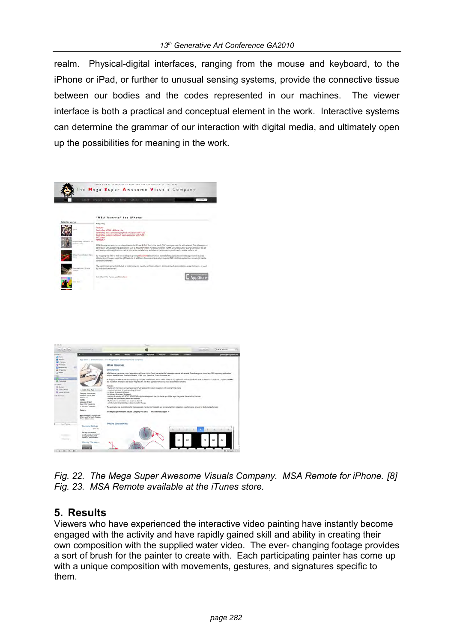realm. Physical-digital interfaces, ranging from the mouse and keyboard, to the iPhone or iPad, or further to unusual sensing systems, provide the connective tissue between our bodies and the codes represented in our machines. The viewer interface is both a practical and conceptual element in the work. Interactive systems can determine the grammar of our interaction with digital media, and ultimately open up the possibilities for meaning in the work.

| shept                                       | <b>Bruner</b><br>restate<br>distant<br>128444<br><b>PLUMB 0.7 p</b>                                                                                                                                                                                                                                                                                                                                          | Starth - |
|---------------------------------------------|--------------------------------------------------------------------------------------------------------------------------------------------------------------------------------------------------------------------------------------------------------------------------------------------------------------------------------------------------------------------------------------------------------------|----------|
|                                             |                                                                                                                                                                                                                                                                                                                                                                                                              |          |
|                                             | "MSA Remote" for iPhone                                                                                                                                                                                                                                                                                                                                                                                      |          |
| Selected works                              | May 2005                                                                                                                                                                                                                                                                                                                                                                                                     |          |
| 1444                                        | <b>Fastures</b><br>Controlling VD506 + Ableton Live<br>Controlling Java / processing ong Rush simulation with TUID<br>Controlling custom multissuch paint application with TURO                                                                                                                                                                                                                              |          |
|                                             | OSCulator<br>MAXIMUS                                                                                                                                                                                                                                                                                                                                                                                         |          |
| moses then "fattimes" for<br>Drawings asked | MSA Remote is a remote control application for iPhone & Plut Youth that rends DSC measures over the will retainly. This allows you can<br>control any CSC supporting applications such as Max/MSPUlstar, PuneData, Washbot, VOMK, yavy, Kespiume, Quartz Composer etc. as<br>well as any custom applications such as interactive installations, audioliziousl performances, multitouch capable surfaces etc. |          |
| Dilla   Famil   Dekarl Mürn<br>-            | By mapping the OSC to milli on dealing to a, varing OSC/death alous further corred of any application which supports mid-such as<br>Alleton Live, Cubase, Logic Pro. (DSMa) etc. In addition, developers can equily integrate DSC into their applications knowing it can be<br>controlled remotely.                                                                                                          |          |
| lepeché Srcies- * Francie                   | The application can be distributed to musers, quests, members of the public etc. to immedict with an installation or performance, or used<br>by dedicated performers:                                                                                                                                                                                                                                        |          |
|                                             |                                                                                                                                                                                                                                                                                                                                                                                                              |          |



*Fig. 22. The Mega Super Awesome Visuals Company. MSA Remote for iPhone. [8] Fig. 23. MSA Remote available at the iTunes store.* 

# **5. Results**

Viewers who have experienced the interactive video painting have instantly become engaged with the activity and have rapidly gained skill and ability in creating their own composition with the supplied water video. The ever- changing footage provides a sort of brush for the painter to create with. Each participating painter has come up with a unique composition with movements, gestures, and signatures specific to them.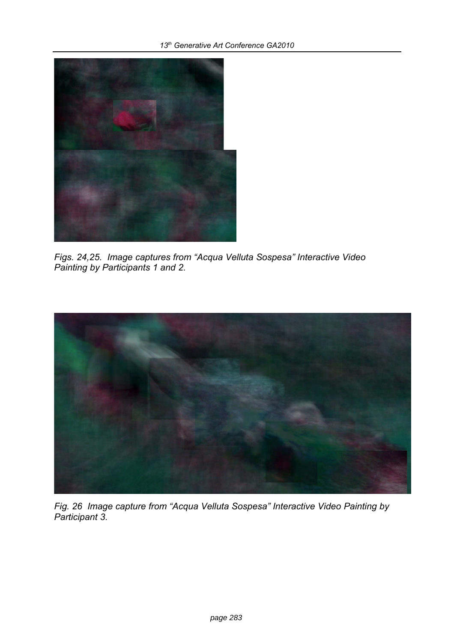

*Figs. 24,25. Image captures from "Acqua Velluta Sospesa" Interactive Video Painting by Participants 1 and 2.*



*Fig. 26 Image capture from "Acqua Velluta Sospesa" Interactive Video Painting by Participant 3.*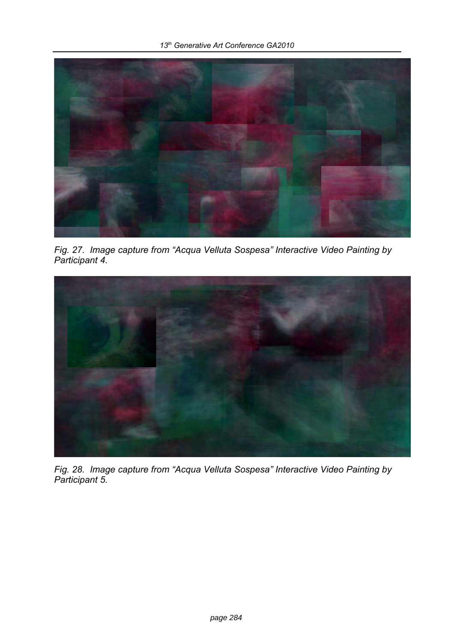

*Fig. 27. Image capture from "Acqua Velluta Sospesa" Interactive Video Painting by Participant 4.*



*Fig. 28. Image capture from "Acqua Velluta Sospesa" Interactive Video Painting by Participant 5.*